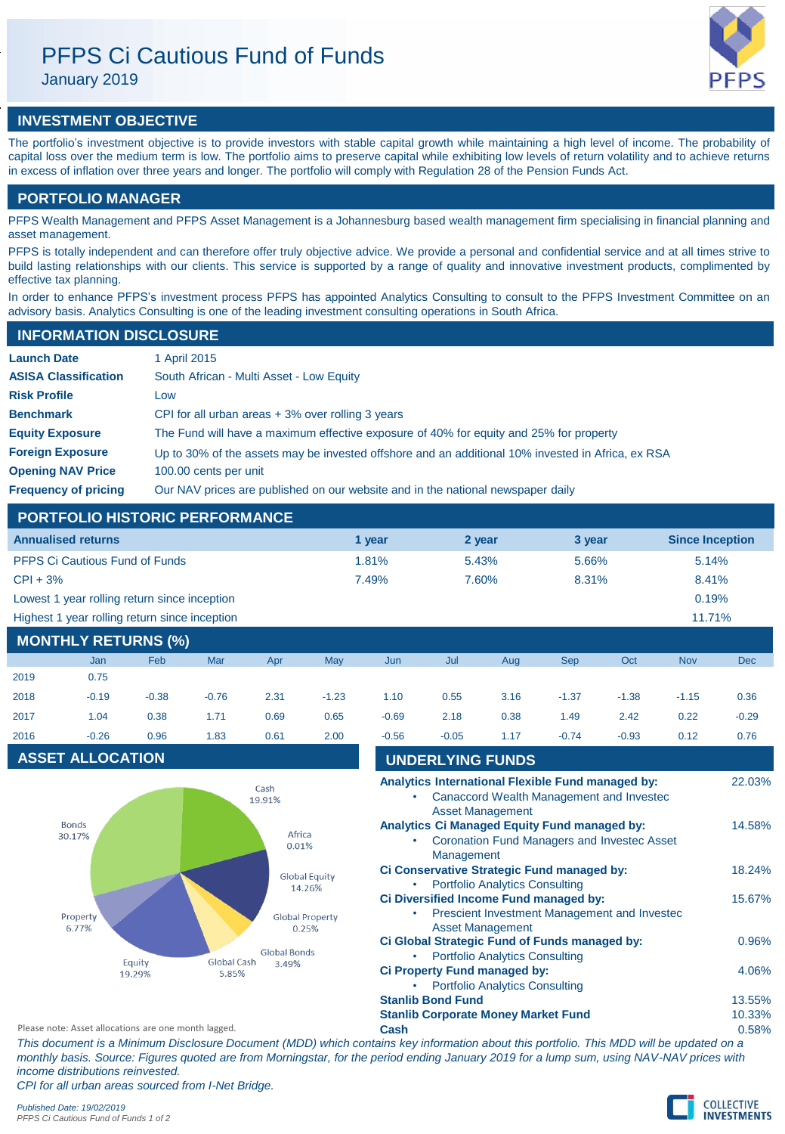# PFPS Ci Cautious Fund of Funds

January 2019

## **INVESTMENT OBJECTIVE**

The portfolio's investment objective is to provide investors with stable capital growth while maintaining a high level of income. The probability of capital loss over the medium term is low. The portfolio aims to preserve capital while exhibiting low levels of return volatility and to achieve returns in excess of inflation over three years and longer. The portfolio will comply with Regulation 28 of the Pension Funds Act.

## **PORTFOLIO MANAGER**

PFPS Wealth Management and PFPS Asset Management is a Johannesburg based wealth management firm specialising in financial planning and asset management.

PFPS is totally independent and can therefore offer truly objective advice. We provide a personal and confidential service and at all times strive to build lasting relationships with our clients. This service is supported by a range of quality and innovative investment products, complimented by effective tax planning.

In order to enhance PFPS's investment process PFPS has appointed Analytics Consulting to consult to the PFPS Investment Committee on an advisory basis. Analytics Consulting is one of the leading investment consulting operations in South Africa.

### **INFORMATION DISCLOSURE**

| <b>Launch Date</b>          | 1 April 2015                                                                                      |
|-----------------------------|---------------------------------------------------------------------------------------------------|
| <b>ASISA Classification</b> | South African - Multi Asset - Low Equity                                                          |
| <b>Risk Profile</b>         | Low                                                                                               |
| <b>Benchmark</b>            | CPI for all urban areas $+3\%$ over rolling 3 years                                               |
| <b>Equity Exposure</b>      | The Fund will have a maximum effective exposure of 40% for equity and 25% for property            |
| <b>Foreign Exposure</b>     | Up to 30% of the assets may be invested offshore and an additional 10% invested in Africa, ex RSA |
| <b>Opening NAV Price</b>    | 100.00 cents per unit                                                                             |
| <b>Frequency of pricing</b> | Our NAV prices are published on our website and in the national newspaper daily                   |

### **PORTFOLIO HISTORIC PERFORMANCE**

| <b>Annualised returns</b>                     | 1 year | 2 year | 3 year | <b>Since Inception</b> |  |  |  |  |  |
|-----------------------------------------------|--------|--------|--------|------------------------|--|--|--|--|--|
| <b>PFPS Ci Cautious Fund of Funds</b>         | 1.81%  | 5.43%  | 5.66%  | 5.14%                  |  |  |  |  |  |
| $CPI + 3%$                                    | 7.49%  | 7.60%  | 8.31%  | 8.41%                  |  |  |  |  |  |
| Lowest 1 year rolling return since inception  |        |        |        | 0.19%                  |  |  |  |  |  |
| Highest 1 year rolling return since inception |        |        |        | 11.71%                 |  |  |  |  |  |

### **MONTHLY RETURNS (%)**

|      | Jan     | Feb     | Mar     | Apr  | May     | Jun     | Jul     | Aug  | <b>Sep</b> | Oct     | <b>Nov</b> | Dec     |
|------|---------|---------|---------|------|---------|---------|---------|------|------------|---------|------------|---------|
| 2019 | 0.75    |         |         |      |         |         |         |      |            |         |            |         |
| 2018 | $-0.19$ | $-0.38$ | $-0.76$ | 2.31 | $-1.23$ | 1.10    | 0.55    | 3.16 | $-1.37$    | $-1.38$ | $-1.15$    | 0.36    |
| 2017 | 1.04    | 0.38    | 1.71    | 0.69 | 0.65    | $-0.69$ | 2.18    | 0.38 | 1.49       | 2.42    | 0.22       | $-0.29$ |
| 2016 | $-0.26$ | 0.96    | 1.83    | 0.61 | 2.00    | $-0.56$ | $-0.05$ | 1.17 | $-0.74$    | $-0.93$ | 0.12       | 0.76    |
|      |         |         |         |      |         |         |         |      |            |         |            |         |



| 2018                                                | $-0.19$                 | $-0.38$          | $-0.76$                        | 2.31                | $-1.23$                         | 1.10    | 0.55                     | 3.16                                                                  | $-1.37$                                                                                            | $-1.38$ | $-1.15$ | 0.36                        |
|-----------------------------------------------------|-------------------------|------------------|--------------------------------|---------------------|---------------------------------|---------|--------------------------|-----------------------------------------------------------------------|----------------------------------------------------------------------------------------------------|---------|---------|-----------------------------|
| 2017                                                | 1.04                    | 0.38             | 1.71                           | 0.69                | 0.65                            | $-0.69$ | 2.18                     | 0.38                                                                  | 1.49                                                                                               | 2.42    | 0.22    | $-0.29$                     |
| 2016                                                | $-0.26$                 | 0.96             | 1.83                           | 0.61                | 2.00                            | $-0.56$ | $-0.05$                  | 1.17                                                                  | $-0.74$                                                                                            | $-0.93$ | 0.12    | 0.76                        |
|                                                     | <b>ASSET ALLOCATION</b> |                  |                                |                     |                                 |         | <b>UNDERLYING FUNDS</b>  |                                                                       |                                                                                                    |         |         |                             |
|                                                     |                         |                  |                                | Cash<br>19.91%      |                                 |         |                          | <b>Asset Management</b>                                               | Analytics International Flexible Fund managed by:<br>Canaccord Wealth Management and Invested      |         |         | 22.03%                      |
|                                                     | <b>Bonds</b><br>30.17%  |                  |                                | Africa<br>0.01%     |                                 |         | Management               |                                                                       | Analytics Ci Managed Equity Fund managed by:<br><b>Coronation Fund Managers and Invested Asset</b> |         |         | 14.58%                      |
|                                                     |                         |                  | <b>Global Equity</b><br>14.26% |                     |                                 |         |                          | <b>Portfolio Analytics Consulting</b>                                 | Ci Conservative Strategic Fund managed by:                                                         |         |         | 18.24%                      |
|                                                     | Property<br>6.77%       |                  |                                |                     | <b>Global Property</b><br>0.25% | ٠       |                          | <b>Asset Management</b>                                               | Ci Diversified Income Fund managed by:<br>Prescient Investment Management and Investec             |         |         | 15.67%                      |
|                                                     |                         |                  |                                | <b>Global Bonds</b> |                                 |         |                          | <b>Portfolio Analytics Consulting</b>                                 | Ci Global Strategic Fund of Funds managed by:                                                      |         |         | 0.96%                       |
|                                                     |                         | Equity<br>19.29% | Global Cash<br>3.49%<br>5.85%  |                     |                                 |         |                          | Ci Property Fund managed by:<br><b>Portfolio Analytics Consulting</b> |                                                                                                    |         |         | 4.06%                       |
|                                                     |                         |                  |                                |                     |                                 |         | <b>Stanlib Bond Fund</b> |                                                                       |                                                                                                    |         |         | 13.55%                      |
|                                                     |                         |                  |                                |                     |                                 |         |                          | <b>Stanlib Corporate Money Market Fund</b>                            |                                                                                                    |         |         | 10.33%                      |
| Discordered and allegations and and accorde laboral |                         |                  |                                |                     |                                 |         |                          |                                                                       |                                                                                                    |         |         | $\sim$ $\sim$ $\sim$ $\sim$ |

Please note: Asset allocations are one month lagged. **Cash** 0.58%

*This document is a Minimum Disclosure Document (MDD) which contains key information about this portfolio. This MDD will be updated on a monthly basis. Source: Figures quoted are from Morningstar, for the period ending January 2019 for a lump sum, using NAV-NAV prices with income distributions reinvested.*

*CPI for all urban areas sourced from I-Net Bridge.*